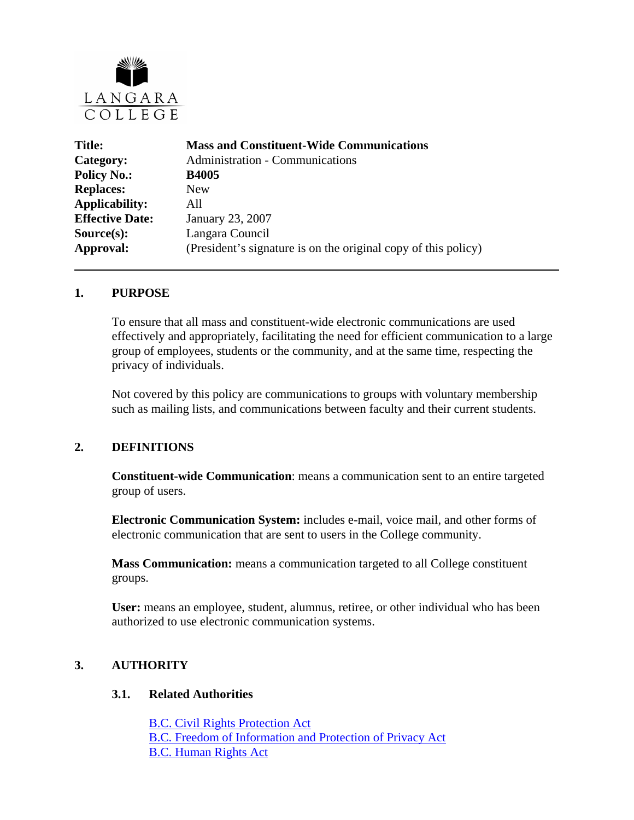

| <b>Mass and Constituent-Wide Communications</b>                |
|----------------------------------------------------------------|
| <b>Administration - Communications</b>                         |
| <b>B4005</b>                                                   |
| <b>New</b>                                                     |
| A11                                                            |
| January 23, 2007                                               |
| Langara Council                                                |
| (President's signature is on the original copy of this policy) |
|                                                                |

#### **1. PURPOSE**

To ensure that all mass and constituent-wide electronic communications are used effectively and appropriately, facilitating the need for efficient communication to a large group of employees, students or the community, and at the same time, respecting the privacy of individuals.

Not covered by this policy are communications to groups with voluntary membership such as mailing lists, and communications between faculty and their current students.

### **2. DEFINITIONS**

**Constituent-wide Communication**: means a communication sent to an entire targeted group of users.

**Electronic Communication System:** includes e-mail, voice mail, and other forms of electronic communication that are sent to users in the College community.

 **Mass Communication:** means a communication targeted to all College constituent groups.

**User:** means an employee, student, alumnus, retiree, or other individual who has been authorized to use electronic communication systems.

### **3. AUTHORITY**

#### **3.1. Related Authorities**

[B.C. Civil Rights Protection Act](http://www.qp.gov.bc.ca/statreg/stat/C/96049_01.htm) [B.C. Freedom of Information and Protection of Privacy Act](http://www.qp.gov.bc.ca/statreg/stat/F/96165_01.htm) [B.C. Human Rights Act](http://www.qp.gov.bc.ca/statreg/stat/H/96210_01.htm)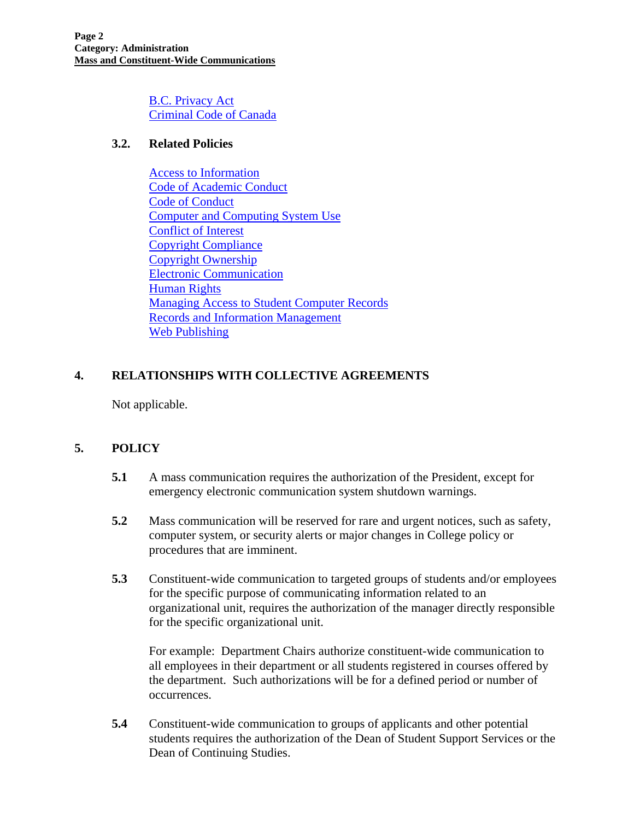[B.C. Privacy Act](http://www.qp.gov.bc.ca/statreg/stat/P/96373_01.htm) [Criminal Code of Canada](http://laws.justice.gc.ca/en/c-46)

### **3.2. Related Policies**

[Access to Information](http://www.langara.bc.ca/policies/B5001.pdf)  [Code of Academic Conduct](http://www.langara.bc.ca/policies/F1004.pdf) [Code of Conduct](http://www.langara.bc.ca/policies/B3002.pdf) [Computer and Computing System Use](http://www.langara.bc.ca/policies/B5002.pdf) [Conflict of Interest](http://www.langara.bc.ca/policies/B3003.pdf) [Copyright Compliance](http://www.langara.bc.ca/policies/B5003.pdf)  [Copyright Ownership](http://www.langara.bc.ca/policies/B5004.pdf) [Electronic Communication](http://www.langara.bc.ca/policies/B4002.pdf)  [Human Rights](http://www.langara.bc.ca/policies/B3008.pdf)  [Managing Access to Student Computer Records](http://www.langara.bc.ca/policies/E2001.pdf) [Records and Information Management](http://www.langara.bc.ca/policies/B5010.pdf)  [Web Publishing](http://www.langara.bc.ca/policies/B5006.pdf) 

# **4. RELATIONSHIPS WITH COLLECTIVE AGREEMENTS**

Not applicable.

# **5. POLICY**

- **5.1** A mass communication requires the authorization of the President, except for emergency electronic communication system shutdown warnings.
- **5.2** Mass communication will be reserved for rare and urgent notices, such as safety, computer system, or security alerts or major changes in College policy or procedures that are imminent.
- **5.3** Constituent-wide communication to targeted groups of students and/or employees for the specific purpose of communicating information related to an organizational unit, requires the authorization of the manager directly responsible for the specific organizational unit.

 For example: Department Chairs authorize constituent-wide communication to all employees in their department or all students registered in courses offered by the department. Such authorizations will be for a defined period or number of occurrences.

**5.4** Constituent-wide communication to groups of applicants and other potential students requires the authorization of the Dean of Student Support Services or the Dean of Continuing Studies.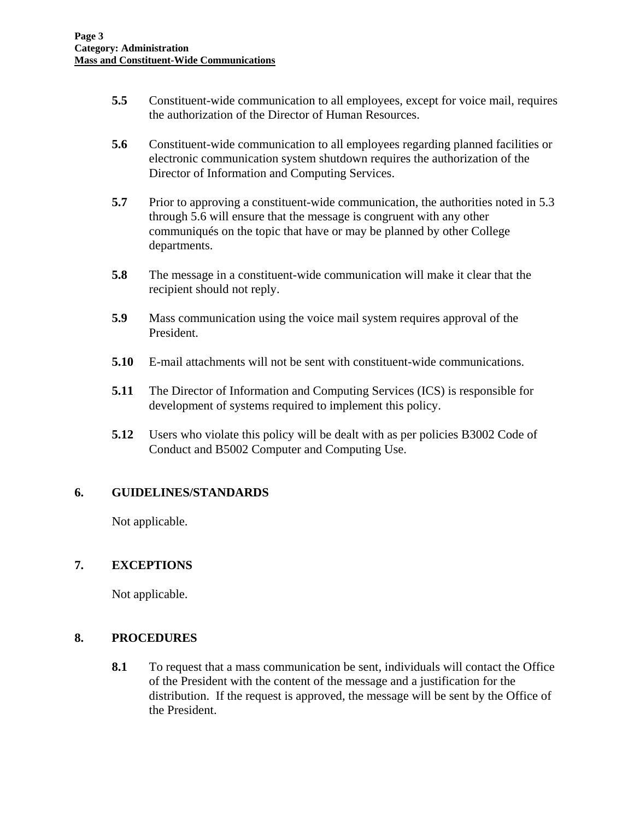- **5.5** Constituent-wide communication to all employees, except for voice mail, requires the authorization of the Director of Human Resources.
- **5.6** Constituent-wide communication to all employees regarding planned facilities or electronic communication system shutdown requires the authorization of the Director of Information and Computing Services.
- **5.7** Prior to approving a constituent-wide communication, the authorities noted in 5.3 through 5.6 will ensure that the message is congruent with any other communiqués on the topic that have or may be planned by other College departments.
- **5.8** The message in a constituent-wide communication will make it clear that the recipient should not reply.
- **5.9** Mass communication using the voice mail system requires approval of the President.
- **5.10** E-mail attachments will not be sent with constituent-wide communications.
- **5.11** The Director of Information and Computing Services (ICS) is responsible for development of systems required to implement this policy.
- **5.12** Users who violate this policy will be dealt with as per policies B3002 Code of Conduct and B5002 Computer and Computing Use.

### **6. GUIDELINES/STANDARDS**

Not applicable.

### **7. EXCEPTIONS**

Not applicable.

### **8. PROCEDURES**

**8.1** To request that a mass communication be sent, individuals will contact the Office of the President with the content of the message and a justification for the distribution. If the request is approved, the message will be sent by the Office of the President.